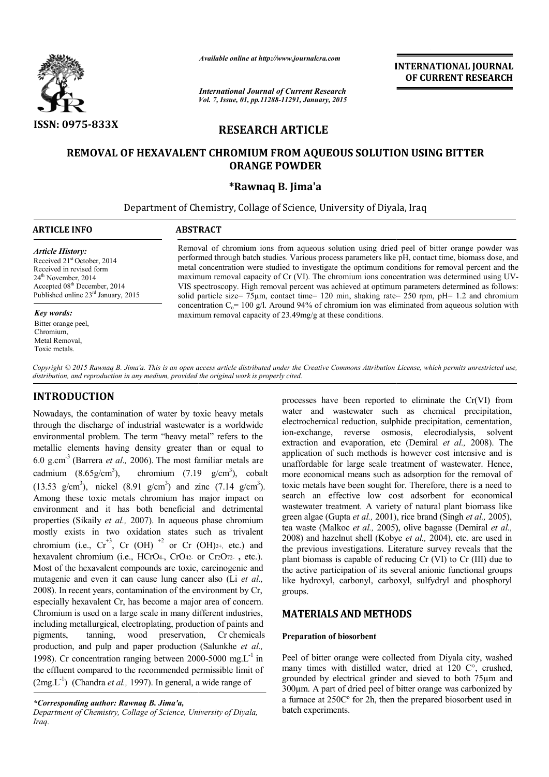

*Available online at http://www.journalcra.com*

*International Journal of Current Research Vol. 7, Issue, 01, pp.11288-11291, January, 2015* **INTERNATIONAL JOURNAL OF CURRENT RESEARCH** 

# **RESEARCH ARTICLE**

# **REMOVAL OF HEXAVALENT CHROMIUM FROM AQUEOUS SOLUTION REMOVAL OF USING BITTER ORANGE POWDER**

### **\*Rawnaq B. Jima'a**

Department of Chemistry, Collage of Science, University of Diyala, Iraq

| ARTICLE INFO                                                                                                                                                                                                           | <b>ABSTRACT</b>                                                                                                                                                                                                                                                                                                                                                                                                                                                                                                                                                                                                      |
|------------------------------------------------------------------------------------------------------------------------------------------------------------------------------------------------------------------------|----------------------------------------------------------------------------------------------------------------------------------------------------------------------------------------------------------------------------------------------------------------------------------------------------------------------------------------------------------------------------------------------------------------------------------------------------------------------------------------------------------------------------------------------------------------------------------------------------------------------|
| <b>Article History:</b><br>Received 21 <sup>st</sup> October, 2014<br>Received in revised form<br>$24th$ November, 2014<br>Accepted 08 <sup>th</sup> December, 2014<br>Published online 23 <sup>rd</sup> January, 2015 | Removal of chromium ions from aqueous solution using dried peel of bitter orange powder was<br>performed through batch studies. Various process parameters like pH, contact time, biomass dose, and<br>metal concentration were studied to investigate the optimum conditions for removal percent and the<br>maximum removal capacity of Cr (VI). The chromium ions concentration was determined using UV-<br>VIS spectroscopy. High removal percent was achieved at optimum parameters determined as follows:<br>solid particle size= $75\mu$ m, contact time= 120 min, shaking rate= 250 rpm, pH= 1.2 and chromium |
| Key words:                                                                                                                                                                                                             | concentration $C_0 = 100$ g/l. Around 94% of chromium ion was eliminated from aqueous solution with<br>maximum removal capacity of $23.49$ mg/g at these conditions.                                                                                                                                                                                                                                                                                                                                                                                                                                                 |
| Bitter orange peel,<br>Chromium,<br>Metal Removal,<br>Toxic metals.                                                                                                                                                    |                                                                                                                                                                                                                                                                                                                                                                                                                                                                                                                                                                                                                      |

Copyright © 2015 Rawnaq B. Jima'a. This is an open access article distributed under the Creative Commons Attribution License, which permits unrestricted use, *distribution, and reproduction in any medium, provided the original work is properly cited.*

# **INTRODUCTION**

Nowadays, the contamination of water by toxic heavy metals through the discharge of industrial wastewater is a worldwide environmental problem. The term "heavy metal" refers to the metallic elements having density greater than or equal to 6.0 g.cm-3 (Barrera *et al*.*,* 2006). The most familiar metals are cadmium  $(8.65g/cm<sup>3</sup>)$ , chromium  $(7.19 g/cm<sup>3</sup>)$ , cobalt (13.53 g/cm<sup>3</sup>), nickel (8.91 g/cm<sup>3</sup>) and zinc (7.14 g/cm<sup>3</sup>). Among these toxic metals chromium has major impact on environment and it has both beneficial and detrimental properties (Sikaily *et al.,* 2007). In aqueous phase chromium mostly exists in two oxidation states such as trivalent chromium (i.e.,  $Cr^{+3}$ , Cr (OH)<sup>+2</sup> or Cr (OH)2+, etc.) and hexavalent chromium (i.e., HCrO4-, CrO42- or Cr2O72- **,** etc.). Most of the hexavalent compounds are toxic, carcinogenic and mutagenic and even it can cause lung cancer also (Li *et al.,* 2008). In recent years, contamination of the environment by Cr, especially hexavalent Cr, has become a major area of concern. Chromium is used on a large scale in many different industries, including metallurgical, electroplating, production of paints and pigments, tanning, wood preservation, Cr chemicals production, and pulp and paper production (Salunkhe *et al.,* 1998). Cr concentration ranging between 2000-5000 mg.L<sup>-1</sup> in the effluent compared to the recommended permissible limit of  $(2mg.L<sup>-1</sup>)$  (Chandra *et al.*, 1997). In general, a wide range of

processes have been reported to eliminate the Cr(VI) from water and wastewater such as chemical precipitation, electrochemical reduction, sulphide precipitation, cementation, ion-exchange, reverse osmosis, elecrodialysis, solvent extraction and evaporation, etc (Demiral *et al.,* 2008). The application of such methods is however cost intensive and is unaffordable for large scale treatment of wastewater. Hence, more economical means such as adsorption for the removal of toxic metals have been sought for. Therefore, there is a need to search an effective low cost adsorbent for economical wastewater treatment. A variety of natural plant biomass like green algae (Gupta et al., 2001), rice brand (Singh et al., 2005), tea waste (Malkoc *et al.,* 2005), olive bagasse (Demiral *et al.,* 2008) and hazelnut shell (Kobye *et al.,* 2004), etc. are used in the previous investigations. Literature survey reveals that the plant biomass is capable of reducing Cr (VI) to Cr (III) due to the active participation of its several anionic functional groups like hydroxyl, carbonyl, carboxyl, sulfydryl and phosphoryl groups.

# **MATERIALS AND METHODS METHODS**

### **Preparation of biosorbent**

Peel of bitter orange were collected from Diyala city, washed many times with distilled water, dried at  $120 \, \text{C}^{\circ}$ , crushed, grounded by electrical grinder and sieved to both 75µm and 300µm. A part of dried peel of bitter orange was carbonized by a furnace at 250Cº for 2h, then the prepared biosorbent used in batch experiments.

*<sup>\*</sup>Corresponding author: Rawnaq B. Jima'a,*

*Department of Chemistry, Collage of Science, University of Diyala, Iraq.*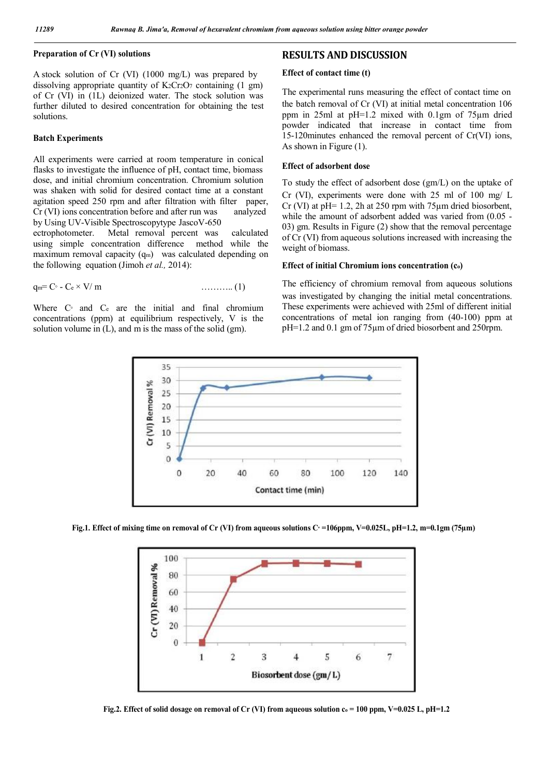### **Preparation of Cr (VI) solutions**

A stock solution of Cr (VI) (1000 mg/L) was prepared by dissolving appropriate quantity of  $K_2Cr_2O_7$  containing (1 gm) of Cr (VI) in (1L) deionized water. The stock solution was further diluted to desired concentration for obtaining the test solutions.

### **Batch Experiments**

All experiments were carried at room temperature in conical flasks to investigate the influence of pH, contact time, biomass dose, and initial chromium concentration. Chromium solution was shaken with solid for desired contact time at a constant agitation speed 250 rpm and after filtration with filter paper, Cr (VI) ions concentration before and after run was analyzed by Using UV-Visible Spectroscopytype JascoV-650

ectrophotometer. Metal removal percent was calculated using simple concentration difference method while the maximum removal capacity (q<sub>m</sub>) was calculated depending on the following equation (Jimoh *et al.,* 2014):

$$
q_m = C \circ C \circ C \circ V/m \qquad \qquad \ldots \ldots \ldots \ldots (1)
$$

Where C<sup>o</sup> and C<sub>c</sub> are the initial and final chromium concentrations (ppm) at equilibrium respectively, V is the solution volume in (L), and m is the mass of the solid (gm).

### **RESULTS AND DISCUSSION**

#### **Effect of contact time (t)**

The experimental runs measuring the effect of contact time on the batch removal of Cr (VI) at initial metal concentration 106 ppm in 25ml at pH=1.2 mixed with 0.1gm of 75µm dried powder indicated that increase in contact time from 15-120minutes enhanced the removal percent of Cr(VI) ions, As shown in Figure (1).

### **Effect of adsorbent dose**

To study the effect of adsorbent dose (gm/L) on the uptake of Cr (VI), experiments were done with 25 ml of 100 mg/ L Cr (VI) at pH= 1.2, 2h at 250 rpm with 75µm dried biosorbent, while the amount of adsorbent added was varied from  $(0.05 -$ 03) gm. Results in Figure (2) show that the removal percentage of Cr (VI) from aqueous solutions increased with increasing the weight of biomass.

#### **Effect of initial Chromium ions concentration (co)**

The efficiency of chromium removal from aqueous solutions was investigated by changing the initial metal concentrations. These experiments were achieved with 25ml of different initial concentrations of metal ion ranging from (40-100) ppm at pH=1.2 and 0.1 gm of 75µm of dried biosorbent and 250rpm.



Fig.1. Effect of mixing time on removal of Cr (VI) from aqueous solutions C<sup> $\cdot$ </sup> =106ppm, V=0.025L, pH=1.2, m=0.1gm (75µm)



Fig.2. Effect of solid dosage on removal of Cr (VI) from aqueous solution  $c_0 = 100$  ppm, V=0.025 L, pH=1.2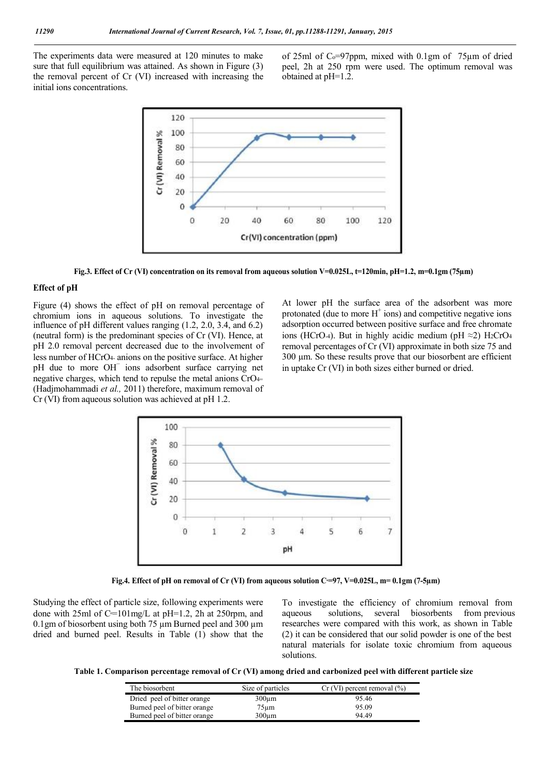The experiments data were measured at 120 minutes to make sure that full equilibrium was attained. As shown in Figure (3) the removal percent of Cr (VI) increased with increasing the initial ions concentrations.

of 25ml of  $Co=97$ ppm, mixed with 0.1gm of 75 $\mu$ m of dried peel, 2h at 250 rpm were used. The optimum removal was obtained at pH=1.2.



Fig.3. Effect of Cr (VI) concentration on its removal from aqueous solution V=0.025L, t=120min, pH=1.2, m=0.1gm (75 $\mu$ m)

### **Effect of pH**

Figure (4) shows the effect of pH on removal percentage of chromium ions in aqueous solutions. To investigate the influence of pH different values ranging (1.2, 2.0, 3.4, and 6.2) (neutral form) is the predominant species of Cr (VI). Hence, at pH 2.0 removal percent decreased due to the involvement of less number of HCrO4- anions on the positive surface. At higher pH due to more OH− ions adsorbent surface carrying net negative charges, which tend to repulse the metal anions CrO4= (Hadjmohammadi *et al.,* 2011) therefore, maximum removal of Cr (VI) from aqueous solution was achieved at pH 1.2.

At lower pH the surface area of the adsorbent was more protonated (due to more  $H^+$  ions) and competitive negative ions adsorption occurred between positive surface and free chromate ions (HCrO-4). But in highly acidic medium (pH  $\approx$ 2) H2CrO4 removal percentages of Cr (VI) approximate in both size 75 and 300 µm. So these results prove that our biosorbent are efficient in uptake Cr (VI) in both sizes either burned or dried.



**Fig.4. Effect of pH on removal of Cr (VI) from aqueous solution Cº=97, V=0.025L, m= 0.1gm (7-5µm)**

Studying the effect of particle size, following experiments were done with 25ml of  $C=101$  mg/L at pH=1.2, 2h at 250 rpm, and 0.1gm of biosorbent using both 75 µm Burned peel and 300 µm dried and burned peel. Results in Table (1) show that the To investigate the efficiency of chromium removal from aqueous solutions, several biosorbents from previous researches were compared with this work, as shown in Table (2) it can be considered that our solid powder is one of the best natural materials for isolate toxic chromium from aqueous solutions.

**Table 1. Comparison percentage removal of Cr (VI) among dried and carbonized peel with different particle size**

| The biosorbent               | Size of particles | $Cr$ (VI) percent removal $(\% )$ |
|------------------------------|-------------------|-----------------------------------|
| Dried peel of bitter orange  | $300 \mu m$       | 95.46                             |
| Burned peel of bitter orange | $75 \mu m$        | 95.09                             |
| Burned peel of bitter orange | $300 \mu m$       | 94 49                             |